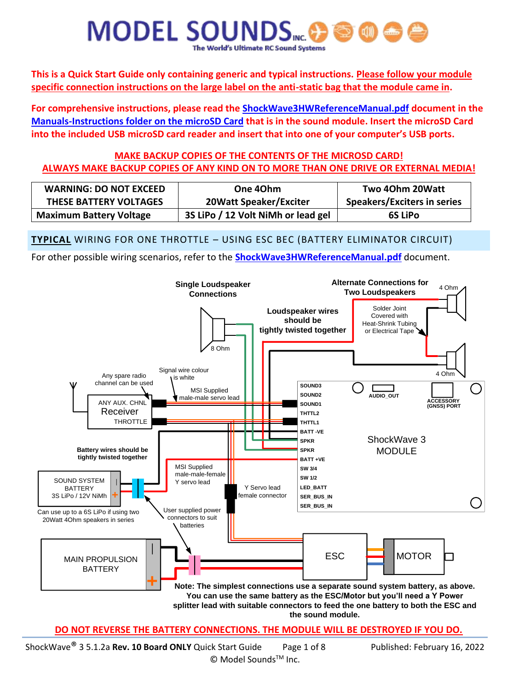**This is a Quick Start Guide only containing generic and typical instructions. Please follow your module specific connection instructions on the large label on the anti-static bag that the module came in.** 

**For comprehensive instructions, please read the ShockWave3HWReferenceManual.pdf document in the Manuals-Instructions folder on the microSD Card that is in the sound module. Insert the microSD Card into the included USB microSD card reader and insert that into one of your computer's USB ports.**

# **MAKE BACKUP COPIES OF THE CONTENTS OF THE MICROSD CARD! ALWAYS MAKE BACKUP COPIES OF ANY KIND ON TO MORE THAN ONE DRIVE OR EXTERNAL MEDIA!**

| <b>WARNING: DO NOT EXCEED</b>  | One 40hm                           | Two 40hm 20Watt                    |
|--------------------------------|------------------------------------|------------------------------------|
| THESE BATTERY VOLTAGES         | <b>20Watt Speaker/Exciter</b>      | <b>Speakers/Exciters in series</b> |
| <b>Maximum Battery Voltage</b> | 3S LiPo / 12 Volt NiMh or lead gel | <b>6S LiPo</b>                     |

**TYPICAL** WIRING FOR ONE THROTTLE – USING ESC BEC (BATTERY ELIMINATOR CIRCUIT)

For other possible wiring scenarios, refer to the **ShockWave3HWReferenceManual.pdf** document.



#### **DO NOT REVERSE THE BATTERY CONNECTIONS. THE MODULE WILL BE DESTROYED IF YOU DO.**

ShockWave® 3 5.1.2a **Rev. 10 Board ONLY** Quick Start Guide Page 1 of 8 Published: February 16, 2022 © Model Sounds<sup>™</sup> Inc.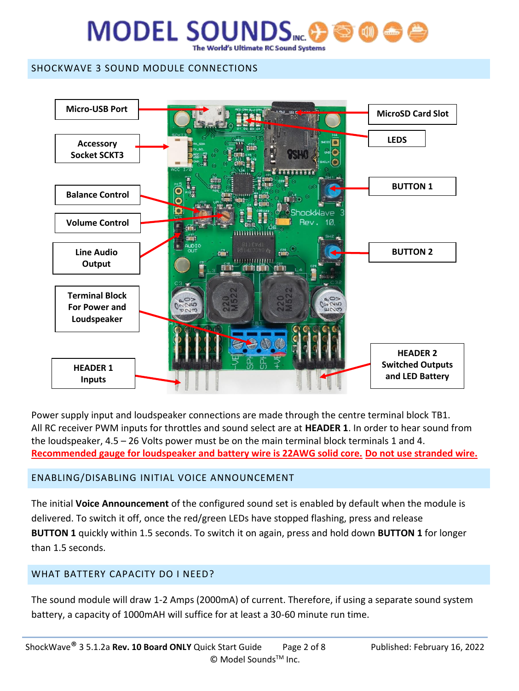### SHOCKWAVE 3 SOUND MODULE CONNECTIONS



Power supply input and loudspeaker connections are made through the centre terminal block TB1. All RC receiver PWM inputs for throttles and sound select are at **HEADER 1**. In order to hear sound from the loudspeaker, 4.5 – 26 Volts power must be on the main terminal block terminals 1 and 4. **Recommended gauge for loudspeaker and battery wire is 22AWG solid core. Do not use stranded wire.**

## ENABLING/DISABLING INITIAL VOICE ANNOUNCEMENT

The initial **Voice Announcement** of the configured sound set is enabled by default when the module is delivered. To switch it off, once the red/green LEDs have stopped flashing, press and release **BUTTON 1** quickly within 1.5 seconds. To switch it on again, press and hold down **BUTTON 1** for longer than 1.5 seconds.

## WHAT BATTERY CAPACITY DO I NEED?

The sound module will draw 1-2 Amps (2000mA) of current. Therefore, if using a separate sound system battery, a capacity of 1000mAH will suffice for at least a 30-60 minute run time.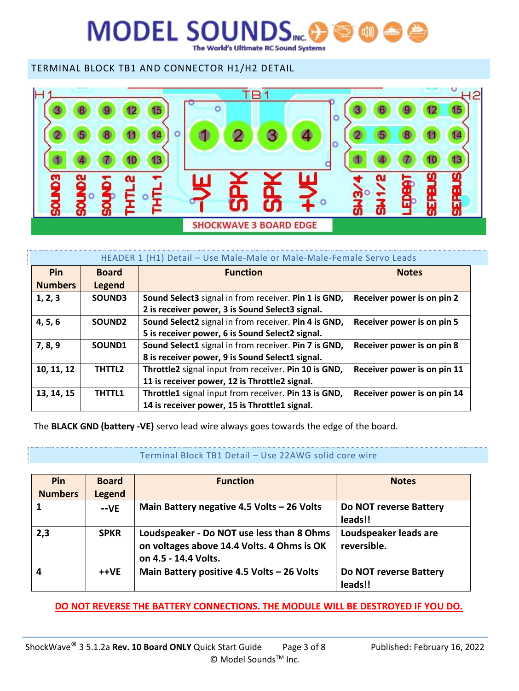# **MODEL SOUNDS** World's Ultimate RC Sound Systems

TERMINAL BLOCK TB1 AND CONNECTOR H1/H2 DETAIL



| HEADER 1 (H1) Detail - Use Male-Male or Male-Male-Female Servo Leads |                    |                                                      |                             |  |
|----------------------------------------------------------------------|--------------------|------------------------------------------------------|-----------------------------|--|
| Pin                                                                  | <b>Board</b>       | <b>Function</b>                                      | <b>Notes</b>                |  |
| <b>Numbers</b>                                                       | Legend             |                                                      |                             |  |
| 1, 2, 3                                                              | SOUND3             | Sound Select3 signal in from receiver. Pin 1 is GND, | Receiver power is on pin 2  |  |
|                                                                      |                    | 2 is receiver power, 3 is Sound Select3 signal.      |                             |  |
| 4, 5, 6                                                              | SOUND <sub>2</sub> | Sound Select2 signal in from receiver. Pin 4 is GND, | Receiver power is on pin 5  |  |
|                                                                      |                    | 5 is receiver power, 6 is Sound Select2 signal.      |                             |  |
| 7, 8, 9                                                              | SOUND1             | Sound Select1 signal in from receiver. Pin 7 is GND, | Receiver power is on pin 8  |  |
|                                                                      |                    | 8 is receiver power, 9 is Sound Select1 signal.      |                             |  |
| 10, 11, 12                                                           | THTTL2             | Throttle2 signal input from receiver. Pin 10 is GND, | Receiver power is on pin 11 |  |
|                                                                      |                    | 11 is receiver power, 12 is Throttle2 signal.        |                             |  |
| 13, 14, 15                                                           | <b>THTTL1</b>      | Throttle1 signal input from receiver. Pin 13 is GND, | Receiver power is on pin 14 |  |
|                                                                      |                    | 14 is receiver power, 15 is Throttle1 signal.        |                             |  |

The **BLACK GND (battery -VE)** servo lead wire always goes towards the edge of the board.

#### Terminal Block TB1 Detail – Use 22AWG solid core wire

| Pin            | <b>Board</b>  | <b>Function</b>                                                                                                 | <b>Notes</b>                         |
|----------------|---------------|-----------------------------------------------------------------------------------------------------------------|--------------------------------------|
| <b>Numbers</b> | <b>Legend</b> |                                                                                                                 |                                      |
|                | $-VE$         | Main Battery negative 4.5 Volts - 26 Volts                                                                      | Do NOT reverse Battery<br>leads!!    |
| 2,3            | <b>SPKR</b>   | Loudspeaker - Do NOT use less than 8 Ohms<br>on voltages above 14.4 Volts. 4 Ohms is OK<br>on 4.5 - 14.4 Volts. | Loudspeaker leads are<br>reversible. |
| 4              | ++VE          | Main Battery positive 4.5 Volts - 26 Volts                                                                      | Do NOT reverse Battery<br>leads!!    |

**DO NOT REVERSE THE BATTERY CONNECTIONS. THE MODULE WILL BE DESTROYED IF YOU DO.**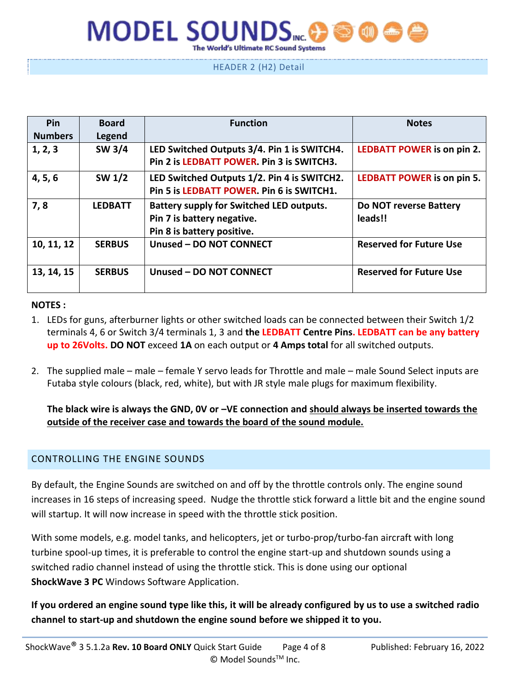### HEADER 2 (H2) Detail

| Pin            | <b>Board</b>   | <b>Function</b>                                                                                             | <b>Notes</b>                      |
|----------------|----------------|-------------------------------------------------------------------------------------------------------------|-----------------------------------|
| <b>Numbers</b> | Legend         |                                                                                                             |                                   |
| 1, 2, 3        | SW 3/4         | LED Switched Outputs 3/4. Pin 1 is SWITCH4.<br>Pin 2 is LEDBATT POWER. Pin 3 is SWITCH3.                    | <b>LEDBATT POWER is on pin 2.</b> |
| 4, 5, 6        | SW 1/2         | LED Switched Outputs 1/2. Pin 4 is SWITCH2.<br>Pin 5 is LEDBATT POWER. Pin 6 is SWITCH1.                    | <b>LEDBATT POWER is on pin 5.</b> |
| 7,8            | <b>LEDBATT</b> | <b>Battery supply for Switched LED outputs.</b><br>Pin 7 is battery negative.<br>Pin 8 is battery positive. | Do NOT reverse Battery<br>leads!! |
| 10, 11, 12     | <b>SERBUS</b>  | Unused - DO NOT CONNECT                                                                                     | <b>Reserved for Future Use</b>    |
| 13, 14, 15     | <b>SERBUS</b>  | Unused - DO NOT CONNECT                                                                                     | <b>Reserved for Future Use</b>    |

#### **NOTES :**

- 1. LEDs for guns, afterburner lights or other switched loads can be connected between their Switch 1/2 terminals 4, 6 or Switch 3/4 terminals 1, 3 and **the LEDBATT Centre Pins. LEDBATT can be any battery up to 26Volts. DO NOT** exceed **1A** on each output or **4 Amps total** for all switched outputs.
- 2. The supplied male male female Y servo leads for Throttle and male male Sound Select inputs are Futaba style colours (black, red, white), but with JR style male plugs for maximum flexibility.

**The black wire is always the GND, 0V or –VE connection and should always be inserted towards the outside of the receiver case and towards the board of the sound module.**

#### CONTROLLING THE ENGINE SOUNDS

By default, the Engine Sounds are switched on and off by the throttle controls only. The engine sound increases in 16 steps of increasing speed. Nudge the throttle stick forward a little bit and the engine sound will startup. It will now increase in speed with the throttle stick position.

With some models, e.g. model tanks, and helicopters, jet or turbo-prop/turbo-fan aircraft with long turbine spool-up times, it is preferable to control the engine start-up and shutdown sounds using a switched radio channel instead of using the throttle stick. This is done using our optional **ShockWave 3 PC** Windows Software Application.

**If you ordered an engine sound type like this, it will be already configured by us to use a switched radio channel to start-up and shutdown the engine sound before we shipped it to you.**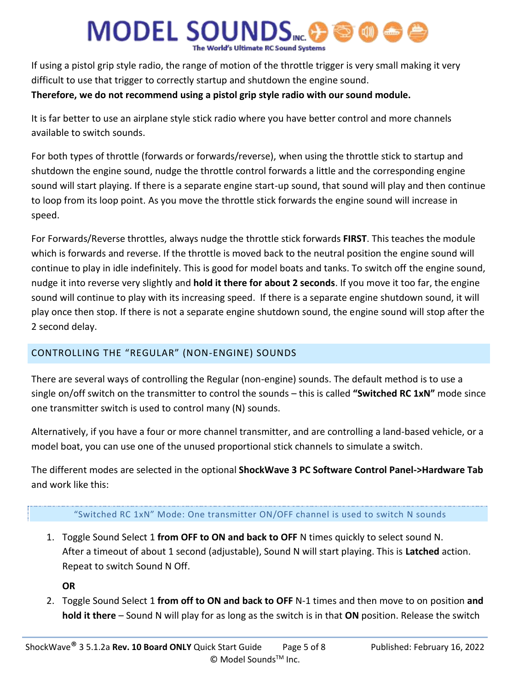If using a pistol grip style radio, the range of motion of the throttle trigger is very small making it very difficult to use that trigger to correctly startup and shutdown the engine sound. **Therefore, we do not recommend using a pistol grip style radio with our sound module.**

# It is far better to use an airplane style stick radio where you have better control and more channels

available to switch sounds.

For both types of throttle (forwards or forwards/reverse), when using the throttle stick to startup and shutdown the engine sound, nudge the throttle control forwards a little and the corresponding engine sound will start playing. If there is a separate engine start-up sound, that sound will play and then continue to loop from its loop point. As you move the throttle stick forwards the engine sound will increase in speed.

For Forwards/Reverse throttles, always nudge the throttle stick forwards **FIRST**. This teaches the module which is forwards and reverse. If the throttle is moved back to the neutral position the engine sound will continue to play in idle indefinitely. This is good for model boats and tanks. To switch off the engine sound, nudge it into reverse very slightly and **hold it there for about 2 seconds**. If you move it too far, the engine sound will continue to play with its increasing speed. If there is a separate engine shutdown sound, it will play once then stop. If there is not a separate engine shutdown sound, the engine sound will stop after the 2 second delay.

# CONTROLLING THE "REGULAR" (NON-ENGINE) SOUNDS

There are several ways of controlling the Regular (non-engine) sounds. The default method is to use a single on/off switch on the transmitter to control the sounds – this is called **"Switched RC 1xN"** mode since one transmitter switch is used to control many (N) sounds.

Alternatively, if you have a four or more channel transmitter, and are controlling a land-based vehicle, or a model boat, you can use one of the unused proportional stick channels to simulate a switch.

The different modes are selected in the optional **ShockWave 3 PC Software Control Panel->Hardware Tab** and work like this:

#### "Switched RC 1xN" Mode: One transmitter ON/OFF channel is used to switch N sounds

1. Toggle Sound Select 1 **from OFF to ON and back to OFF** N times quickly to select sound N. After a timeout of about 1 second (adjustable), Sound N will start playing. This is **Latched** action. Repeat to switch Sound N Off.

**OR**

2. Toggle Sound Select 1 **from off to ON and back to OFF** N-1 times and then move to on position **and hold it there** – Sound N will play for as long as the switch is in that **ON** position. Release the switch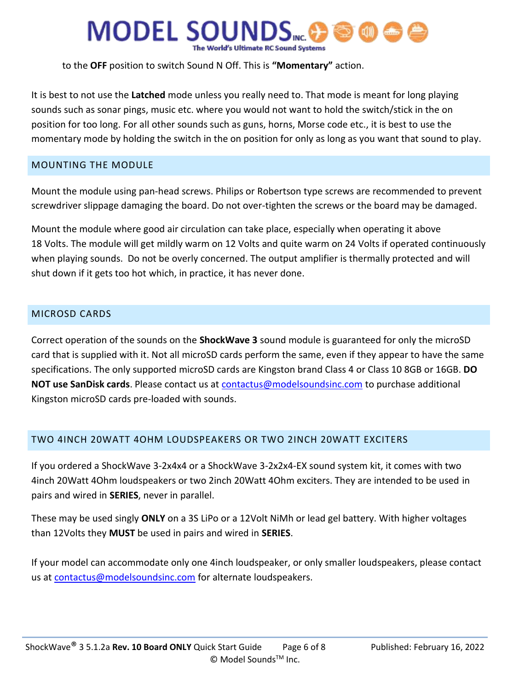to the **OFF** position to switch Sound N Off. This is **"Momentary"** action.

It is best to not use the **Latched** mode unless you really need to. That mode is meant for long playing sounds such as sonar pings, music etc. where you would not want to hold the switch/stick in the on position for too long. For all other sounds such as guns, horns, Morse code etc., it is best to use the momentary mode by holding the switch in the on position for only as long as you want that sound to play.

### MOUNTING THE MODULE

Mount the module using pan-head screws. Philips or Robertson type screws are recommended to prevent screwdriver slippage damaging the board. Do not over-tighten the screws or the board may be damaged.

Mount the module where good air circulation can take place, especially when operating it above 18 Volts. The module will get mildly warm on 12 Volts and quite warm on 24 Volts if operated continuously when playing sounds. Do not be overly concerned. The output amplifier is thermally protected and will shut down if it gets too hot which, in practice, it has never done.

### MICROSD CARDS

Correct operation of the sounds on the **ShockWave 3** sound module is guaranteed for only the microSD card that is supplied with it. Not all microSD cards perform the same, even if they appear to have the same specifications. The only supported microSD cards are Kingston brand Class 4 or Class 10 8GB or 16GB. **DO NOT use SanDisk cards**. Please contact us at [contactus@modelsoundsinc.com](mailto:contactus@modelsoundsinc.com) to purchase additional Kingston microSD cards pre-loaded with sounds.

## TWO 4INCH 20WATT 4OHM LOUDSPEAKERS OR TWO 2INCH 20WATT EXCITERS

If you ordered a ShockWave 3-2x4x4 or a ShockWave 3-2x2x4-EX sound system kit, it comes with two 4inch 20Watt 4Ohm loudspeakers or two 2inch 20Watt 4Ohm exciters. They are intended to be used in pairs and wired in **SERIES**, never in parallel.

These may be used singly **ONLY** on a 3S LiPo or a 12Volt NiMh or lead gel battery. With higher voltages than 12Volts they **MUST** be used in pairs and wired in **SERIES**.

If your model can accommodate only one 4inch loudspeaker, or only smaller loudspeakers, please contact us at [contactus@modelsoundsinc.com](mailto:contactus@modelsoundsinc.com) for alternate loudspeakers.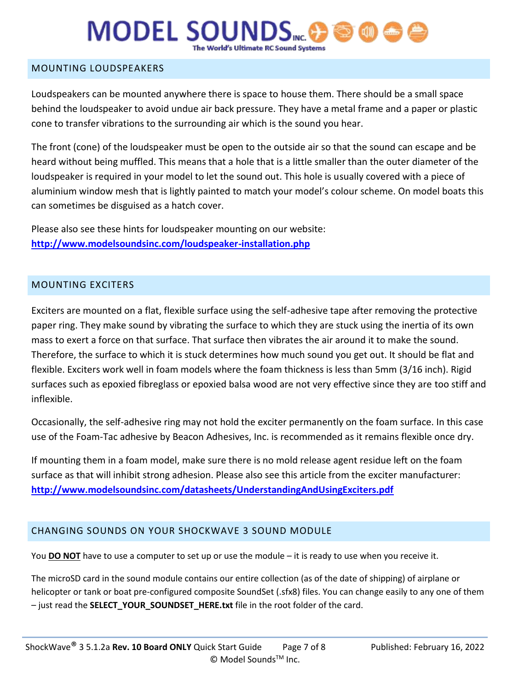### MOUNTING LOUDSPEAKERS

Loudspeakers can be mounted anywhere there is space to house them. There should be a small space behind the loudspeaker to avoid undue air back pressure. They have a metal frame and a paper or plastic cone to transfer vibrations to the surrounding air which is the sound you hear.

The front (cone) of the loudspeaker must be open to the outside air so that the sound can escape and be heard without being muffled. This means that a hole that is a little smaller than the outer diameter of the loudspeaker is required in your model to let the sound out. This hole is usually covered with a piece of aluminium window mesh that is lightly painted to match your model's colour scheme. On model boats this can sometimes be disguised as a hatch cover.

Please also see these hints for loudspeaker mounting on our website: **<http://www.modelsoundsinc.com/loudspeaker-installation.php>**

#### MOUNTING EXCITERS

Exciters are mounted on a flat, flexible surface using the self-adhesive tape after removing the protective paper ring. They make sound by vibrating the surface to which they are stuck using the inertia of its own mass to exert a force on that surface. That surface then vibrates the air around it to make the sound. Therefore, the surface to which it is stuck determines how much sound you get out. It should be flat and flexible. Exciters work well in foam models where the foam thickness is less than 5mm (3/16 inch). Rigid surfaces such as epoxied fibreglass or epoxied balsa wood are not very effective since they are too stiff and inflexible.

Occasionally, the self-adhesive ring may not hold the exciter permanently on the foam surface. In this case use of the Foam-Tac adhesive by Beacon Adhesives, Inc. is recommended as it remains flexible once dry.

If mounting them in a foam model, make sure there is no mold release agent residue left on the foam surface as that will inhibit strong adhesion. Please also see this article from the exciter manufacturer: **<http://www.modelsoundsinc.com/datasheets/UnderstandingAndUsingExciters.pdf>**

## CHANGING SOUNDS ON YOUR SHOCKWAVE 3 SOUND MODULE

You **DO NOT** have to use a computer to set up or use the module – it is ready to use when you receive it.

The microSD card in the sound module contains our entire collection (as of the date of shipping) of airplane or helicopter or tank or boat pre-configured composite SoundSet (.sfx8) files. You can change easily to any one of them – just read the **SELECT\_YOUR\_SOUNDSET\_HERE.txt** file in the root folder of the card.